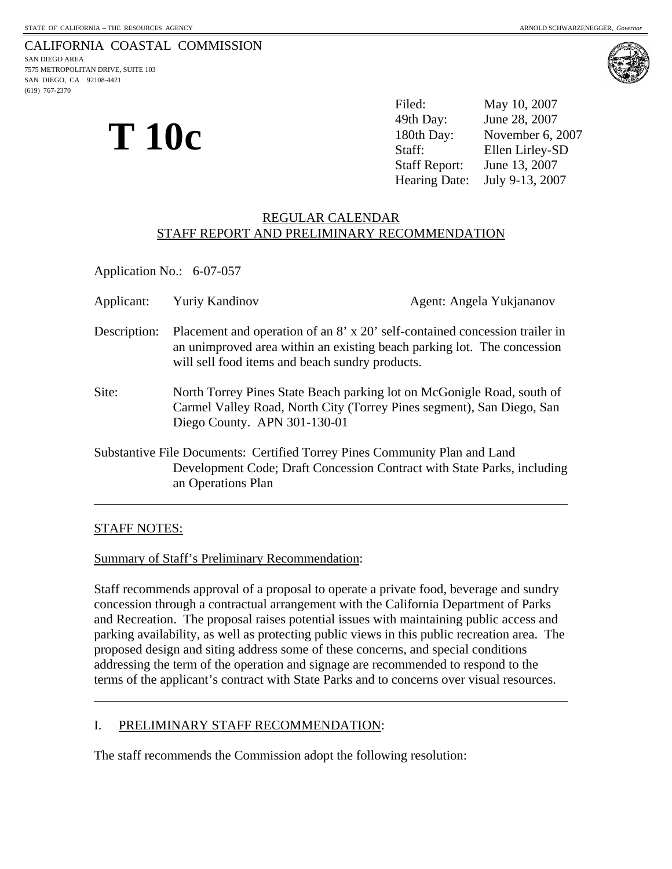7575 METROPOLITAN DRIVE, SUITE 103 SAN DIEGO, CA 92108-4421 (619) 767-2370



**T 10c** 

Filed: May 10, 2007 49th Day: June 28, 2007 180th Day: November 6, 2007 Staff: Ellen Lirley-SD Staff Report: June 13, 2007 Hearing Date: July 9-13, 2007

# REGULAR CALENDAR STAFF REPORT AND PRELIMINARY RECOMMENDATION

Application No.: 6-07-057

| Applicant:   | <b>Yuriy Kandinov</b>                                                                                                                                                                                     | Agent: Angela Yukjananov                                                                                                                        |
|--------------|-----------------------------------------------------------------------------------------------------------------------------------------------------------------------------------------------------------|-------------------------------------------------------------------------------------------------------------------------------------------------|
| Description: | Placement and operation of an 8' x 20' self-contained concession trailer in<br>an unimproved area within an existing beach parking lot. The concession<br>will sell food items and beach sundry products. |                                                                                                                                                 |
| Site:        | Diego County. APN 301-130-01                                                                                                                                                                              | North Torrey Pines State Beach parking lot on McGonigle Road, south of<br>Carmel Valley Road, North City (Torrey Pines segment), San Diego, San |
|              | Substantive File Documents: Certified Torrey Pines Community Plan and Land<br>an Operations Plan                                                                                                          | Development Code; Draft Concession Contract with State Parks, including                                                                         |

# STAFF NOTES:

 $\overline{a}$ 

 $\overline{a}$ 

Summary of Staff's Preliminary Recommendation:

Staff recommends approval of a proposal to operate a private food, beverage and sundry concession through a contractual arrangement with the California Department of Parks and Recreation. The proposal raises potential issues with maintaining public access and parking availability, as well as protecting public views in this public recreation area. The proposed design and siting address some of these concerns, and special conditions addressing the term of the operation and signage are recommended to respond to the terms of the applicant's contract with State Parks and to concerns over visual resources.

## I. PRELIMINARY STAFF RECOMMENDATION:

The staff recommends the Commission adopt the following resolution: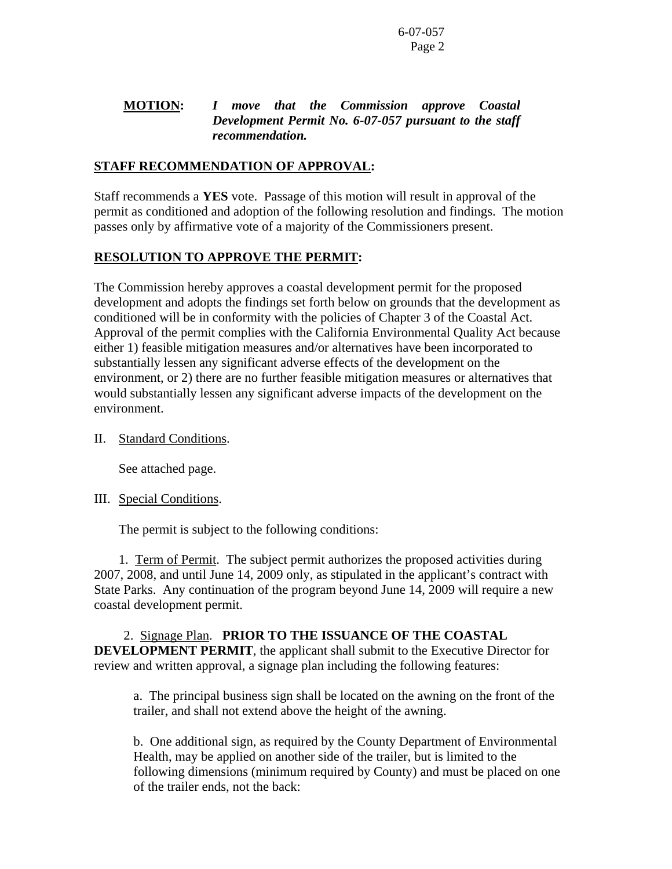# **MOTION:** *I move that the Commission approve Coastal Development Permit No. 6-07-057 pursuant to the staff recommendation.*

# **STAFF RECOMMENDATION OF APPROVAL:**

Staff recommends a **YES** vote. Passage of this motion will result in approval of the permit as conditioned and adoption of the following resolution and findings. The motion passes only by affirmative vote of a majority of the Commissioners present.

# **RESOLUTION TO APPROVE THE PERMIT:**

The Commission hereby approves a coastal development permit for the proposed development and adopts the findings set forth below on grounds that the development as conditioned will be in conformity with the policies of Chapter 3 of the Coastal Act. Approval of the permit complies with the California Environmental Quality Act because either 1) feasible mitigation measures and/or alternatives have been incorporated to substantially lessen any significant adverse effects of the development on the environment, or 2) there are no further feasible mitigation measures or alternatives that would substantially lessen any significant adverse impacts of the development on the environment.

## II. Standard Conditions.

See attached page.

## III. Special Conditions.

The permit is subject to the following conditions:

 1. Term of Permit. The subject permit authorizes the proposed activities during 2007, 2008, and until June 14, 2009 only, as stipulated in the applicant's contract with State Parks. Any continuation of the program beyond June 14, 2009 will require a new coastal development permit.

 2. Signage Plan. **PRIOR TO THE ISSUANCE OF THE COASTAL DEVELOPMENT PERMIT**, the applicant shall submit to the Executive Director for review and written approval, a signage plan including the following features:

a. The principal business sign shall be located on the awning on the front of the trailer, and shall not extend above the height of the awning.

b. One additional sign, as required by the County Department of Environmental Health, may be applied on another side of the trailer, but is limited to the following dimensions (minimum required by County) and must be placed on one of the trailer ends, not the back: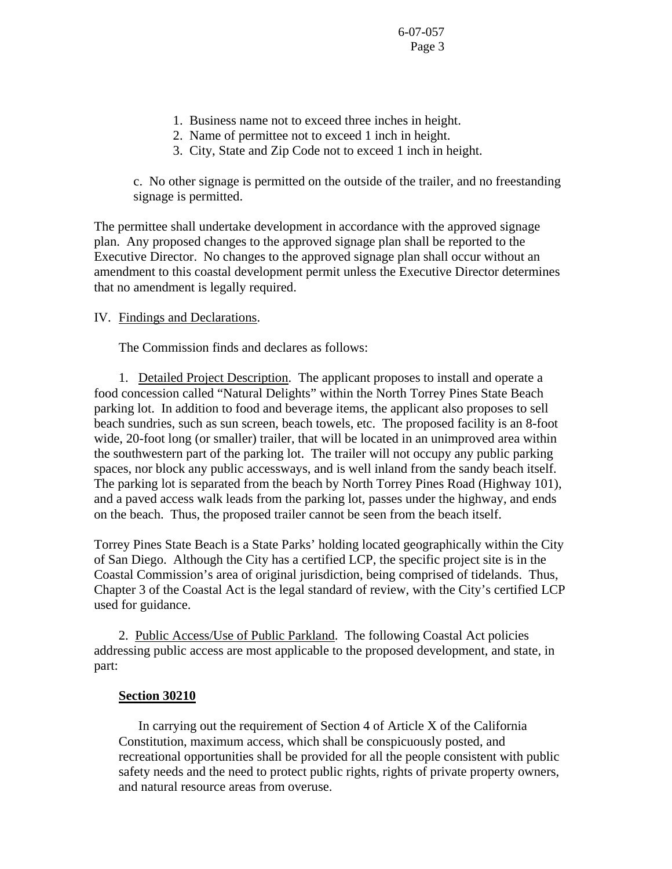- 1. Business name not to exceed three inches in height.
- 2. Name of permittee not to exceed 1 inch in height.
- 3. City, State and Zip Code not to exceed 1 inch in height.

c. No other signage is permitted on the outside of the trailer, and no freestanding signage is permitted.

The permittee shall undertake development in accordance with the approved signage plan. Any proposed changes to the approved signage plan shall be reported to the Executive Director. No changes to the approved signage plan shall occur without an amendment to this coastal development permit unless the Executive Director determines that no amendment is legally required.

## IV. Findings and Declarations.

The Commission finds and declares as follows:

 1. Detailed Project Description. The applicant proposes to install and operate a food concession called "Natural Delights" within the North Torrey Pines State Beach parking lot. In addition to food and beverage items, the applicant also proposes to sell beach sundries, such as sun screen, beach towels, etc. The proposed facility is an 8-foot wide, 20-foot long (or smaller) trailer, that will be located in an unimproved area within the southwestern part of the parking lot. The trailer will not occupy any public parking spaces, nor block any public accessways, and is well inland from the sandy beach itself. The parking lot is separated from the beach by North Torrey Pines Road (Highway 101), and a paved access walk leads from the parking lot, passes under the highway, and ends on the beach. Thus, the proposed trailer cannot be seen from the beach itself.

Torrey Pines State Beach is a State Parks' holding located geographically within the City of San Diego. Although the City has a certified LCP, the specific project site is in the Coastal Commission's area of original jurisdiction, being comprised of tidelands. Thus, Chapter 3 of the Coastal Act is the legal standard of review, with the City's certified LCP used for guidance.

 2. Public Access/Use of Public Parkland. The following Coastal Act policies addressing public access are most applicable to the proposed development, and state, in part:

#### **Section 30210**

 In carrying out the requirement of Section 4 of Article X of the California Constitution, maximum access, which shall be conspicuously posted, and recreational opportunities shall be provided for all the people consistent with public safety needs and the need to protect public rights, rights of private property owners, and natural resource areas from overuse.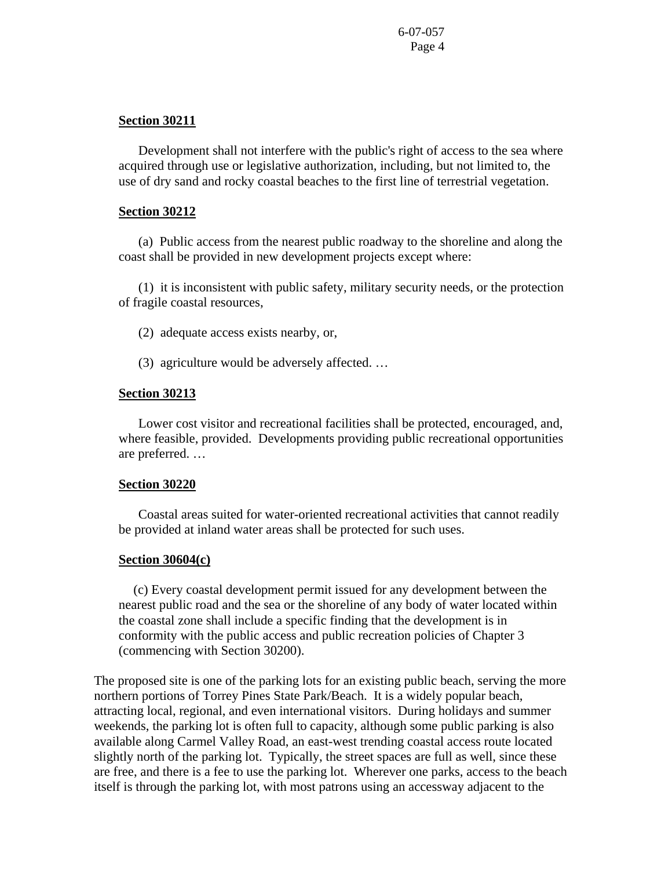### **Section 30211**

 Development shall not interfere with the public's right of access to the sea where acquired through use or legislative authorization, including, but not limited to, the use of dry sand and rocky coastal beaches to the first line of terrestrial vegetation.

#### **Section 30212**

 (a) Public access from the nearest public roadway to the shoreline and along the coast shall be provided in new development projects except where:

 (1) it is inconsistent with public safety, military security needs, or the protection of fragile coastal resources,

(2) adequate access exists nearby, or,

(3) agriculture would be adversely affected. …

#### **Section 30213**

 Lower cost visitor and recreational facilities shall be protected, encouraged, and, where feasible, provided. Developments providing public recreational opportunities are preferred. …

### **Section 30220**

 Coastal areas suited for water-oriented recreational activities that cannot readily be provided at inland water areas shall be protected for such uses.

## **Section 30604(c)**

 (c) Every coastal development permit issued for any development between the nearest public road and the sea or the shoreline of any body of water located within the coastal zone shall include a specific finding that the development is in conformity with the public access and public recreation policies of Chapter 3 (commencing with Section 30200).

The proposed site is one of the parking lots for an existing public beach, serving the more northern portions of Torrey Pines State Park/Beach. It is a widely popular beach, attracting local, regional, and even international visitors. During holidays and summer weekends, the parking lot is often full to capacity, although some public parking is also available along Carmel Valley Road, an east-west trending coastal access route located slightly north of the parking lot. Typically, the street spaces are full as well, since these are free, and there is a fee to use the parking lot. Wherever one parks, access to the beach itself is through the parking lot, with most patrons using an accessway adjacent to the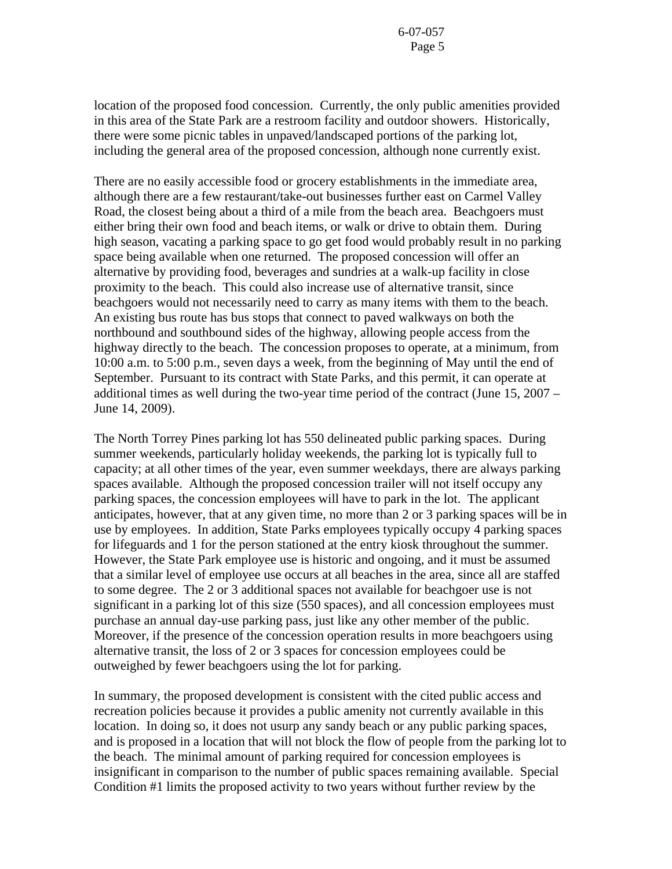location of the proposed food concession. Currently, the only public amenities provided in this area of the State Park are a restroom facility and outdoor showers. Historically, there were some picnic tables in unpaved/landscaped portions of the parking lot, including the general area of the proposed concession, although none currently exist.

There are no easily accessible food or grocery establishments in the immediate area, although there are a few restaurant/take-out businesses further east on Carmel Valley Road, the closest being about a third of a mile from the beach area. Beachgoers must either bring their own food and beach items, or walk or drive to obtain them. During high season, vacating a parking space to go get food would probably result in no parking space being available when one returned. The proposed concession will offer an alternative by providing food, beverages and sundries at a walk-up facility in close proximity to the beach. This could also increase use of alternative transit, since beachgoers would not necessarily need to carry as many items with them to the beach. An existing bus route has bus stops that connect to paved walkways on both the northbound and southbound sides of the highway, allowing people access from the highway directly to the beach. The concession proposes to operate, at a minimum, from 10:00 a.m. to 5:00 p.m., seven days a week, from the beginning of May until the end of September. Pursuant to its contract with State Parks, and this permit, it can operate at additional times as well during the two-year time period of the contract (June 15, 2007 – June 14, 2009).

The North Torrey Pines parking lot has 550 delineated public parking spaces. During summer weekends, particularly holiday weekends, the parking lot is typically full to capacity; at all other times of the year, even summer weekdays, there are always parking spaces available. Although the proposed concession trailer will not itself occupy any parking spaces, the concession employees will have to park in the lot. The applicant anticipates, however, that at any given time, no more than 2 or 3 parking spaces will be in use by employees. In addition, State Parks employees typically occupy 4 parking spaces for lifeguards and 1 for the person stationed at the entry kiosk throughout the summer. However, the State Park employee use is historic and ongoing, and it must be assumed that a similar level of employee use occurs at all beaches in the area, since all are staffed to some degree. The 2 or 3 additional spaces not available for beachgoer use is not significant in a parking lot of this size (550 spaces), and all concession employees must purchase an annual day-use parking pass, just like any other member of the public. Moreover, if the presence of the concession operation results in more beachgoers using alternative transit, the loss of 2 or 3 spaces for concession employees could be outweighed by fewer beachgoers using the lot for parking.

In summary, the proposed development is consistent with the cited public access and recreation policies because it provides a public amenity not currently available in this location. In doing so, it does not usurp any sandy beach or any public parking spaces, and is proposed in a location that will not block the flow of people from the parking lot to the beach. The minimal amount of parking required for concession employees is insignificant in comparison to the number of public spaces remaining available. Special Condition #1 limits the proposed activity to two years without further review by the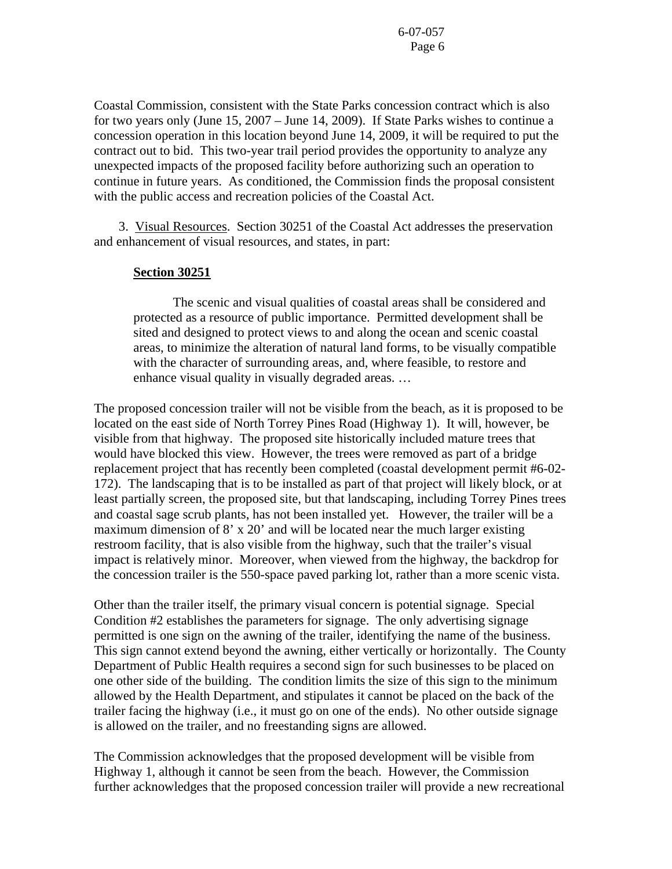Coastal Commission, consistent with the State Parks concession contract which is also for two years only (June 15, 2007 – June 14, 2009). If State Parks wishes to continue a concession operation in this location beyond June 14, 2009, it will be required to put the contract out to bid. This two-year trail period provides the opportunity to analyze any unexpected impacts of the proposed facility before authorizing such an operation to continue in future years. As conditioned, the Commission finds the proposal consistent with the public access and recreation policies of the Coastal Act.

 3. Visual Resources. Section 30251 of the Coastal Act addresses the preservation and enhancement of visual resources, and states, in part:

### **Section 30251**

 The scenic and visual qualities of coastal areas shall be considered and protected as a resource of public importance. Permitted development shall be sited and designed to protect views to and along the ocean and scenic coastal areas, to minimize the alteration of natural land forms, to be visually compatible with the character of surrounding areas, and, where feasible, to restore and enhance visual quality in visually degraded areas. …

The proposed concession trailer will not be visible from the beach, as it is proposed to be located on the east side of North Torrey Pines Road (Highway 1). It will, however, be visible from that highway. The proposed site historically included mature trees that would have blocked this view. However, the trees were removed as part of a bridge replacement project that has recently been completed (coastal development permit #6-02- 172). The landscaping that is to be installed as part of that project will likely block, or at least partially screen, the proposed site, but that landscaping, including Torrey Pines trees and coastal sage scrub plants, has not been installed yet. However, the trailer will be a maximum dimension of 8' x 20' and will be located near the much larger existing restroom facility, that is also visible from the highway, such that the trailer's visual impact is relatively minor. Moreover, when viewed from the highway, the backdrop for the concession trailer is the 550-space paved parking lot, rather than a more scenic vista.

Other than the trailer itself, the primary visual concern is potential signage. Special Condition #2 establishes the parameters for signage. The only advertising signage permitted is one sign on the awning of the trailer, identifying the name of the business. This sign cannot extend beyond the awning, either vertically or horizontally. The County Department of Public Health requires a second sign for such businesses to be placed on one other side of the building. The condition limits the size of this sign to the minimum allowed by the Health Department, and stipulates it cannot be placed on the back of the trailer facing the highway (i.e., it must go on one of the ends). No other outside signage is allowed on the trailer, and no freestanding signs are allowed.

The Commission acknowledges that the proposed development will be visible from Highway 1, although it cannot be seen from the beach. However, the Commission further acknowledges that the proposed concession trailer will provide a new recreational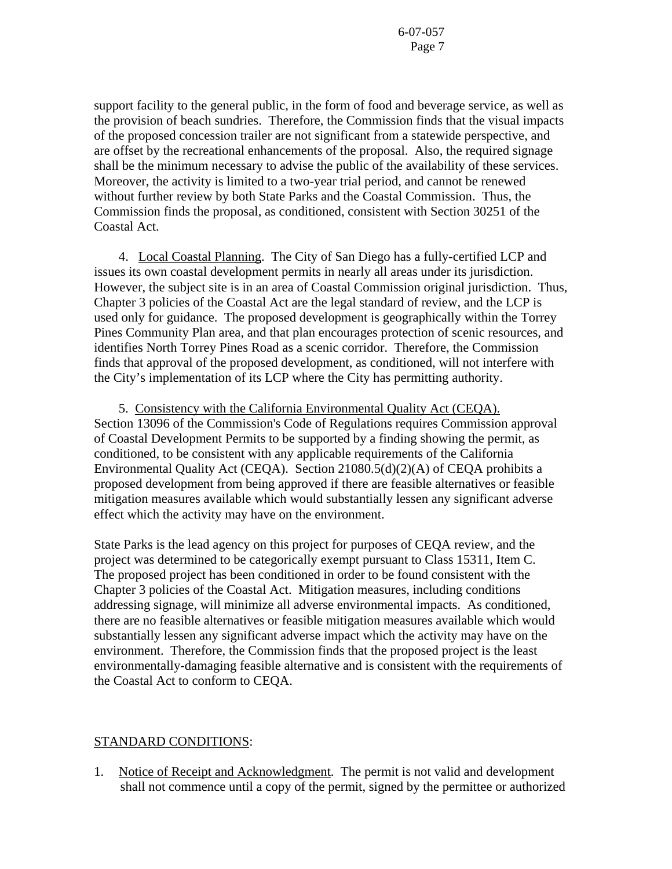support facility to the general public, in the form of food and beverage service, as well as the provision of beach sundries. Therefore, the Commission finds that the visual impacts of the proposed concession trailer are not significant from a statewide perspective, and are offset by the recreational enhancements of the proposal. Also, the required signage shall be the minimum necessary to advise the public of the availability of these services. Moreover, the activity is limited to a two-year trial period, and cannot be renewed without further review by both State Parks and the Coastal Commission. Thus, the Commission finds the proposal, as conditioned, consistent with Section 30251 of the Coastal Act.

 4. Local Coastal Planning. The City of San Diego has a fully-certified LCP and issues its own coastal development permits in nearly all areas under its jurisdiction. However, the subject site is in an area of Coastal Commission original jurisdiction. Thus, Chapter 3 policies of the Coastal Act are the legal standard of review, and the LCP is used only for guidance. The proposed development is geographically within the Torrey Pines Community Plan area, and that plan encourages protection of scenic resources, and identifies North Torrey Pines Road as a scenic corridor. Therefore, the Commission finds that approval of the proposed development, as conditioned, will not interfere with the City's implementation of its LCP where the City has permitting authority.

 5. Consistency with the California Environmental Quality Act (CEQA). Section 13096 of the Commission's Code of Regulations requires Commission approval of Coastal Development Permits to be supported by a finding showing the permit, as conditioned, to be consistent with any applicable requirements of the California Environmental Quality Act (CEQA). Section 21080.5(d)(2)(A) of CEQA prohibits a proposed development from being approved if there are feasible alternatives or feasible mitigation measures available which would substantially lessen any significant adverse effect which the activity may have on the environment.

State Parks is the lead agency on this project for purposes of CEQA review, and the project was determined to be categorically exempt pursuant to Class 15311, Item C. The proposed project has been conditioned in order to be found consistent with the Chapter 3 policies of the Coastal Act. Mitigation measures, including conditions addressing signage, will minimize all adverse environmental impacts. As conditioned, there are no feasible alternatives or feasible mitigation measures available which would substantially lessen any significant adverse impact which the activity may have on the environment. Therefore, the Commission finds that the proposed project is the least environmentally-damaging feasible alternative and is consistent with the requirements of the Coastal Act to conform to CEQA.

## STANDARD CONDITIONS:

1. Notice of Receipt and Acknowledgment. The permit is not valid and development shall not commence until a copy of the permit, signed by the permittee or authorized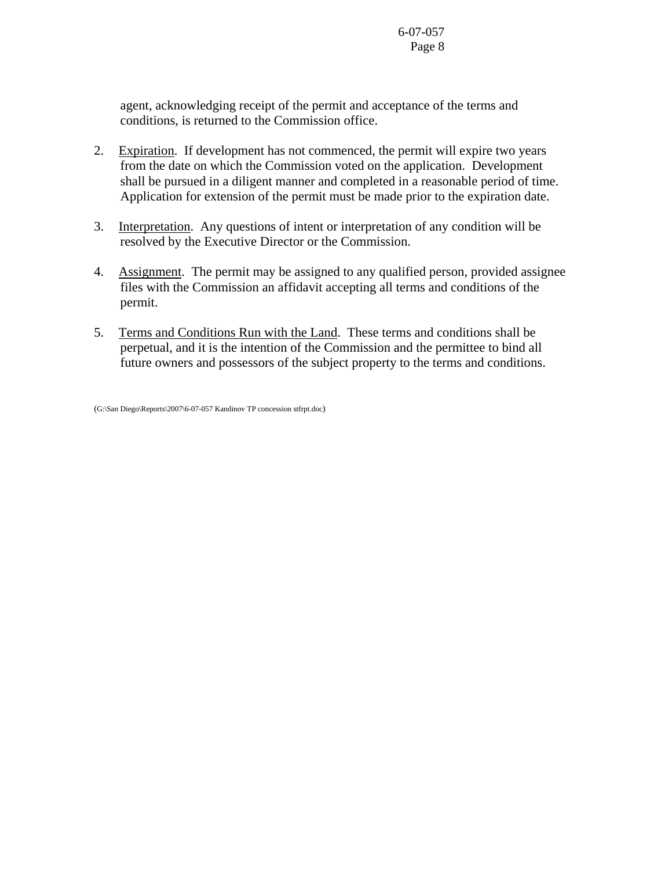agent, acknowledging receipt of the permit and acceptance of the terms and conditions, is returned to the Commission office.

- 2. Expiration. If development has not commenced, the permit will expire two years from the date on which the Commission voted on the application. Development shall be pursued in a diligent manner and completed in a reasonable period of time. Application for extension of the permit must be made prior to the expiration date.
- 3. Interpretation. Any questions of intent or interpretation of any condition will be resolved by the Executive Director or the Commission.
- 4. Assignment. The permit may be assigned to any qualified person, provided assignee files with the Commission an affidavit accepting all terms and conditions of the permit.
- 5. Terms and Conditions Run with the Land. These terms and conditions shall be perpetual, and it is the intention of the Commission and the permittee to bind all future owners and possessors of the subject property to the terms and conditions.

<sup>(</sup>G:\San Diego\Reports\2007\6-07-057 Kandinov TP concession stfrpt.doc)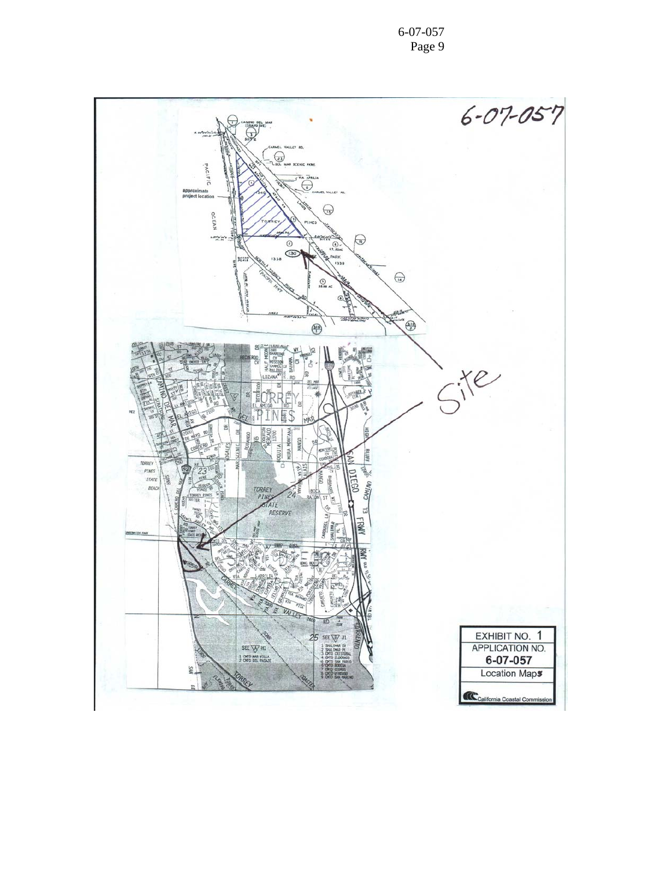